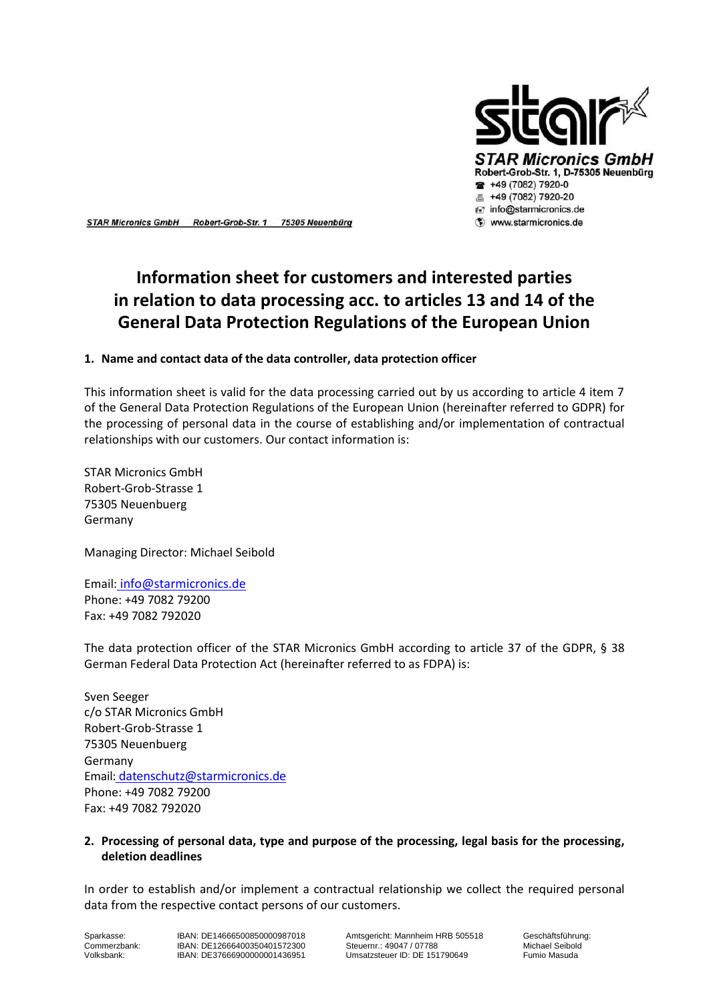

STAR Micronics GmbH Robert-Grob-Str. 1 75305 Neuenbürg

# **Information sheet for customers and interested parties in relation to data processing acc. to articles 13 and 14 of the General Data Protection Regulations of the European Union**

### **1. Name and contact data of the data controller, data protection officer**

This information sheet is valid for the data processing carried out by us according to article 4 item 7 of the General Data Protection Regulations of the European Union (hereinafter referred to GDPR) for the processing of personal data in the course of establishing and/or implementation of contractual relationships with our customers. Our contact information is:

STAR Micronics GmbH Robert-Grob-Strasse 1 75305 Neuenbuerg Germany

Managing Director: Michael Seibold

Email: [info@starmicronics.de](mailto:info@starmicronics.de) Phone: +49 7082 79200 Fax: +49 7082 792020

The data protection officer of the STAR Micronics GmbH according to article 37 of the GDPR, § 38 German Federal Data Protection Act (hereinafter referred to as FDPA) is:

Sven Seeger c/o STAR Micronics GmbH Robert-Grob-Strasse 1 75305 Neuenbuerg Germany Email: [datenschutz@starmicronics.de](mailto:datenschutz@starmicronics.de) Phone: +49 7082 79200 Fax: +49 7082 792020

### **2. Processing of personal data, type and purpose of the processing, legal basis for the processing, deletion deadlines**

In order to establish and/or implement a contractual relationship we collect the required personal data from the respective contact persons of our customers.

Volksbank: DE376669000000001436951

Sparkasse: IBAN: DE14666500850000987018 Amtsgericht: Mannheim HRB 505518 Geschäftsführung:<br>Commerzbank: IBAN: DE12666400350401572300 Steuernr.: 49047 / 07788 Michael Seibold Commerzbank: IBAN: DE12666400350401572300 Steuernr.: 49047 / 07788 Michael Seibold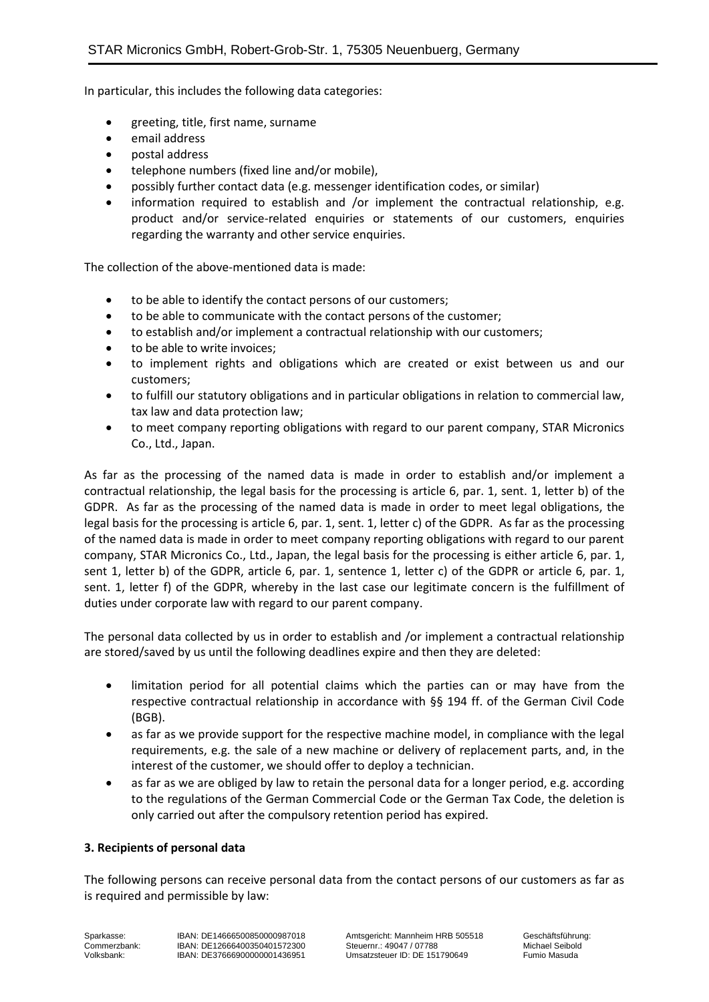In particular, this includes the following data categories:

- greeting, title, first name, surname
- email address
- postal address
- telephone numbers (fixed line and/or mobile),
- possibly further contact data (e.g. messenger identification codes, or similar)
- information required to establish and /or implement the contractual relationship, e.g. product and/or service-related enquiries or statements of our customers, enquiries regarding the warranty and other service enquiries.

The collection of the above-mentioned data is made:

- to be able to identify the contact persons of our customers;
- to be able to communicate with the contact persons of the customer;
- to establish and/or implement a contractual relationship with our customers;
- to be able to write invoices;
- to implement rights and obligations which are created or exist between us and our customers;
- to fulfill our statutory obligations and in particular obligations in relation to commercial law, tax law and data protection law;
- to meet company reporting obligations with regard to our parent company, STAR Micronics Co., Ltd., Japan.

As far as the processing of the named data is made in order to establish and/or implement a contractual relationship, the legal basis for the processing is article 6, par. 1, sent. 1, letter b) of the GDPR. As far as the processing of the named data is made in order to meet legal obligations, the legal basis for the processing is article 6, par. 1, sent. 1, letter c) of the GDPR. As far as the processing of the named data is made in order to meet company reporting obligations with regard to our parent company, STAR Micronics Co., Ltd., Japan, the legal basis for the processing is either article 6, par. 1, sent 1, letter b) of the GDPR, article 6, par. 1, sentence 1, letter c) of the GDPR or article 6, par. 1, sent. 1, letter f) of the GDPR, whereby in the last case our legitimate concern is the fulfillment of duties under corporate law with regard to our parent company.

The personal data collected by us in order to establish and /or implement a contractual relationship are stored/saved by us until the following deadlines expire and then they are deleted:

- limitation period for all potential claims which the parties can or may have from the respective contractual relationship in accordance with §§ 194 ff. of the German Civil Code (BGB).
- as far as we provide support for the respective machine model, in compliance with the legal requirements, e.g. the sale of a new machine or delivery of replacement parts, and, in the interest of the customer, we should offer to deploy a technician.
- as far as we are obliged by law to retain the personal data for a longer period, e.g. according to the regulations of the German Commercial Code or the German Tax Code, the deletion is only carried out after the compulsory retention period has expired.

### **3. Recipients of personal data**

The following persons can receive personal data from the contact persons of our customers as far as is required and permissible by law: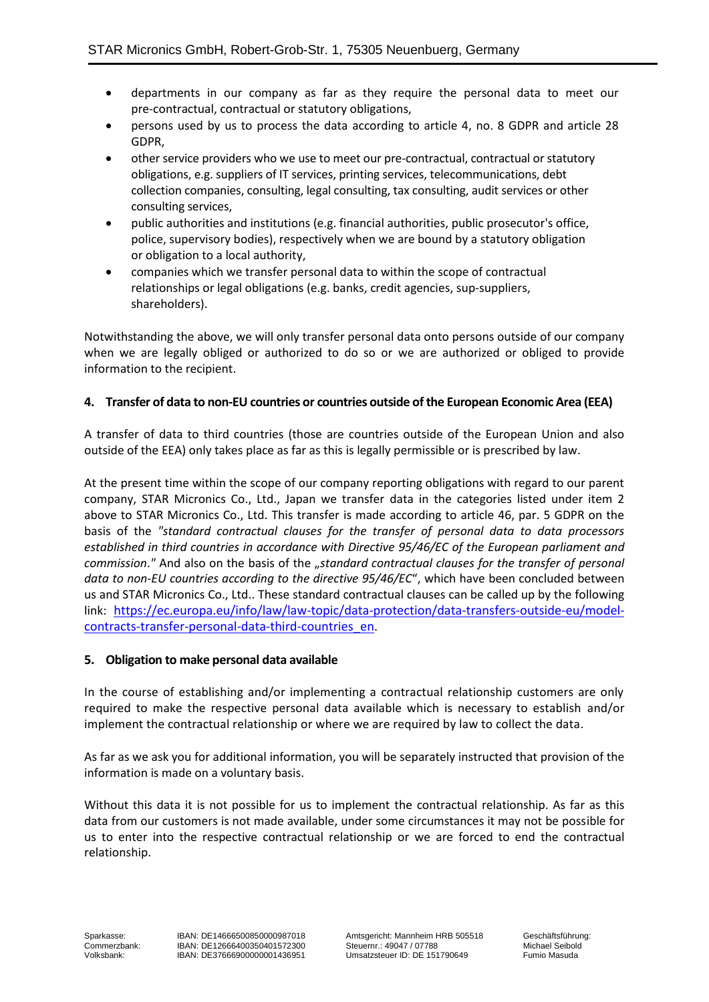- departments in our company as far as they require the personal data to meet our pre-contractual, contractual or statutory obligations,
- persons used by us to process the data according to article 4, no. 8 GDPR and article 28 GDPR,
- other service providers who we use to meet our pre-contractual, contractual or statutory obligations, e.g. suppliers of IT services, printing services, telecommunications, debt collection companies, consulting, legal consulting, tax consulting, audit services or other consulting services,
- public authorities and institutions (e.g. financial authorities, public prosecutor's office, police, supervisory bodies), respectively when we are bound by a statutory obligation or obligation to a local authority,
- companies which we transfer personal data to within the scope of contractual relationships or legal obligations (e.g. banks, credit agencies, sup-suppliers, shareholders).

Notwithstanding the above, we will only transfer personal data onto persons outside of our company when we are legally obliged or authorized to do so or we are authorized or obliged to provide information to the recipient.

# **4. Transfer of data to non-EU countries or countries outside of the European Economic Area (EEA)**

A transfer of data to third countries (those are countries outside of the European Union and also outside of the EEA) only takes place as far as this is legally permissible or is prescribed by law.

At the present time within the scope of our company reporting obligations with regard to our parent company, STAR Micronics Co., Ltd., Japan we transfer data in the categories listed under item 2 above to STAR Micronics Co., Ltd. This transfer is made according to article 46, par. 5 GDPR on the basis of the *"standard contractual clauses for the transfer of personal data to data processors established in third countries in accordance with Directive 95/46/EC of the European parliament and commission."* And also on the basis of the "standard contractual clauses for the transfer of personal *data to non-EU countries according to the directive 95/46/EC*", which have been concluded between us and STAR Micronics Co., Ltd.. These standard contractual clauses can be called up by the following link: [https://ec.europa.eu/info/law/law-topic/data-protection/data-transfers-outside-eu/model](https://ec.europa.eu/info/law/law-topic/data-protection/data-transfers-outside-eu/model-contracts-transfer-personal-data-third-countries_en)[contracts-transfer-personal-data-third-countries\\_en](https://ec.europa.eu/info/law/law-topic/data-protection/data-transfers-outside-eu/model-contracts-transfer-personal-data-third-countries_en).

# **5. Obligation to make personal data available**

In the course of establishing and/or implementing a contractual relationship customers are only required to make the respective personal data available which is necessary to establish and/or implement the contractual relationship or where we are required by law to collect the data.

As far as we ask you for additional information, you will be separately instructed that provision of the information is made on a voluntary basis.

Without this data it is not possible for us to implement the contractual relationship. As far as this data from our customers is not made available, under some circumstances it may not be possible for us to enter into the respective contractual relationship or we are forced to end the contractual relationship.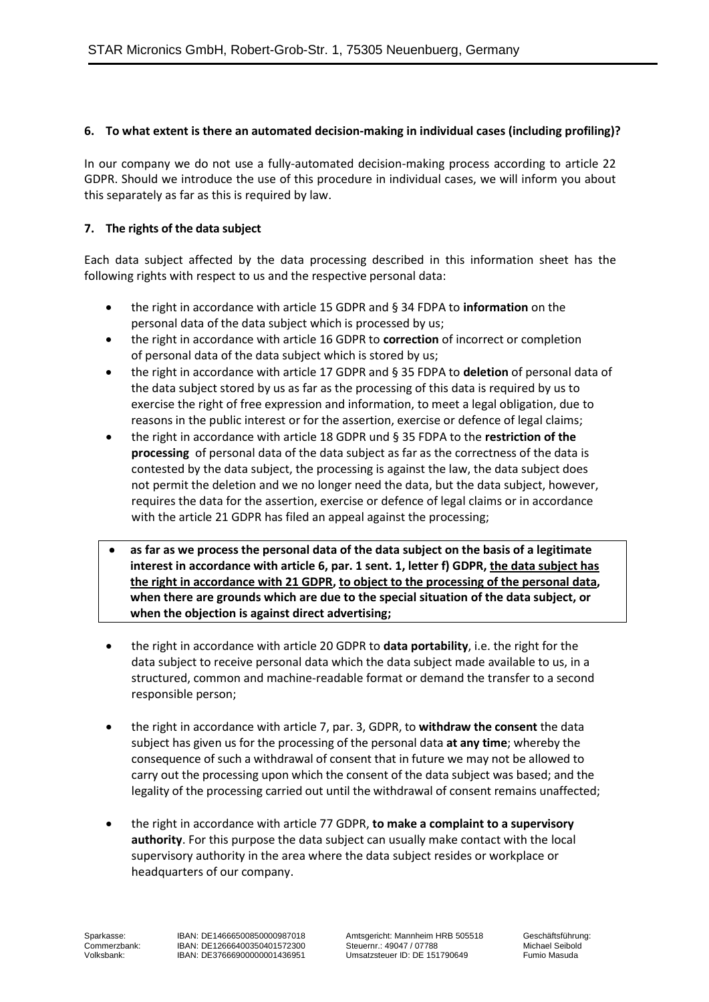## **6. To what extent is there an automated decision-making in individual cases (including profiling)?**

In our company we do not use a fully-automated decision-making process according to article 22 GDPR. Should we introduce the use of this procedure in individual cases, we will inform you about this separately as far as this is required by law.

## **7. The rights of the data subject**

Each data subject affected by the data processing described in this information sheet has the following rights with respect to us and the respective personal data:

- the right in accordance with article 15 GDPR and § 34 FDPA to **information** on the personal data of the data subject which is processed by us;
- the right in accordance with article 16 GDPR to **correction** of incorrect or completion of personal data of the data subject which is stored by us;
- the right in accordance with article 17 GDPR and § 35 FDPA to **deletion** of personal data of the data subject stored by us as far as the processing of this data is required by us to exercise the right of free expression and information, to meet a legal obligation, due to reasons in the public interest or for the assertion, exercise or defence of legal claims;
- the right in accordance with article 18 GDPR und § 35 FDPA to the **restriction of the processing** of personal data of the data subject as far as the correctness of the data is contested by the data subject, the processing is against the law, the data subject does not permit the deletion and we no longer need the data, but the data subject, however, requires the data for the assertion, exercise or defence of legal claims or in accordance with the article 21 GDPR has filed an appeal against the processing;
- **as far as we process the personal data of the data subject on the basis of a legitimate interest in accordance with article 6, par. 1 sent. 1, letter f) GDPR, the data subject has the right in accordance with 21 GDPR, to object to the processing of the personal data, when there are grounds which are due to the special situation of the data subject, or when the objection is against direct advertising;**
- the right in accordance with article 20 GDPR to **data portability**, i.e. the right for the data subject to receive personal data which the data subject made available to us, in a structured, common and machine-readable format or demand the transfer to a second responsible person;
- the right in accordance with article 7, par. 3, GDPR, to **withdraw the consent** the data subject has given us for the processing of the personal data **at any time**; whereby the consequence of such a withdrawal of consent that in future we may not be allowed to carry out the processing upon which the consent of the data subject was based; and the legality of the processing carried out until the withdrawal of consent remains unaffected;
- the right in accordance with article 77 GDPR, **to make a complaint to a supervisory authority**. For this purpose the data subject can usually make contact with the local supervisory authority in the area where the data subject resides or workplace or headquarters of our company.